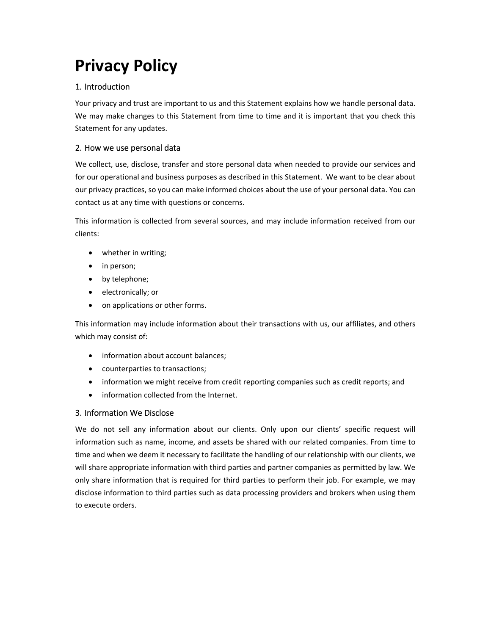# **Privacy Policy**

# 1. Introduction

Your privacy and trust are important to us and this Statement explains how we handle personal data. We may make changes to this Statement from time to time and it is important that you check this Statement for any updates.

# 2. How we use personal data

We collect, use, disclose, transfer and store personal data when needed to provide our services and for our operational and business purposes as described in this Statement. We want to be clear about our privacy practices, so you can make informed choices about the use of your personal data. You can contact us at any time with questions or concerns.

This information is collected from several sources, and may include information received from our clients:

- whether in writing;
- in person;
- by telephone;
- electronically; or
- on applications or other forms.

This information may include information about their transactions with us, our affiliates, and others which may consist of:

- information about account balances;
- counterparties to transactions;
- information we might receive from credit reporting companies such as credit reports; and
- information collected from the Internet.

## 3. Information We Disclose

We do not sell any information about our clients. Only upon our clients' specific request will information such as name, income, and assets be shared with our related companies. From time to time and when we deem it necessary to facilitate the handling of our relationship with our clients, we will share appropriate information with third parties and partner companies as permitted by law. We only share information that is required for third parties to perform their job. For example, we may disclose information to third parties such as data processing providers and brokers when using them to execute orders.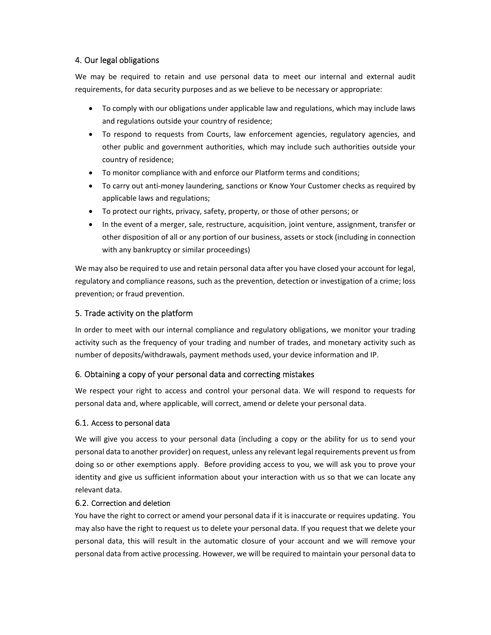## 4. Our legal obligations

We may be required to retain and use personal data to meet our internal and external audit requirements, for data security purposes and as we believe to be necessary or appropriate:

- To comply with our obligations under applicable law and regulations, which may include laws and regulations outside your country of residence;
- To respond to requests from Courts, law enforcement agencies, regulatory agencies, and other public and government authorities, which may include such authorities outside your country of residence;
- To monitor compliance with and enforce our Platform terms and conditions;
- To carry out anti-money laundering, sanctions or Know Your Customer checks as required by applicable laws and regulations;
- To protect our rights, privacy, safety, property, or those of other persons; or
- In the event of a merger, sale, restructure, acquisition, joint venture, assignment, transfer or other disposition of all or any portion of our business, assets or stock (including in connection with any bankruptcy or similar proceedings)

We may also be required to use and retain personal data after you have closed your account for legal, regulatory and compliance reasons, such as the prevention, detection or investigation of a crime; loss prevention; or fraud prevention.

## 5. Trade activity on the platform

In order to meet with our internal compliance and regulatory obligations, we monitor your trading activity such as the frequency of your trading and number of trades, and monetary activity such as number of deposits/withdrawals, payment methods used, your device information and IP.

#### 6. Obtaining a copy of your personal data and correcting mistakes

We respect your right to access and control your personal data. We will respond to requests for personal data and, where applicable, will correct, amend or delete your personal data.

#### 6.1. Access to personal data

We will give you access to your personal data (including a copy or the ability for us to send your personal data to another provider) on request, unless any relevant legal requirements prevent usfrom doing so or other exemptions apply. Before providing access to you, we will ask you to prove your identity and give us sufficient information about your interaction with us so that we can locate any relevant data.

#### 6.2. Correction and deletion

You have the right to correct or amend your personal data if it is inaccurate or requires updating. You may also have the right to request us to delete your personal data. If you request that we delete your personal data, this will result in the automatic closure of your account and we will remove your personal data from active processing. However, we will be required to maintain your personal data to